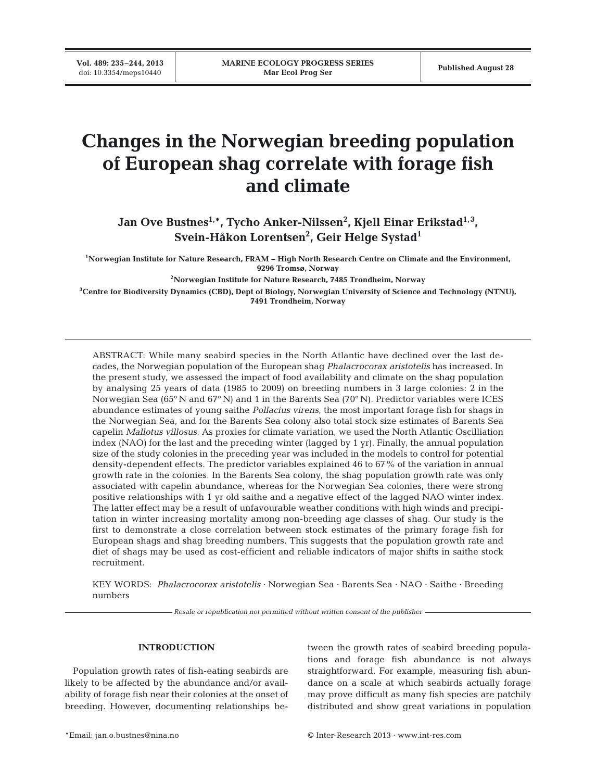**Vol. 489: 235–244, 2013**

# **Changes in the Norwegian breeding population of European shag correlate with forage fish and climate**

Jan Ove Bustnes<sup>1,\*</sup>, Tycho Anker-Nilssen<sup>2</sup>, Kjell Einar Erikstad<sup>1,3</sup>, **Svein-Håkon Lorentsen2 , Geir Helge Systad1**

**1Norwegian Institute for Nature Research, FRAM − High North Research Centre on Climate and the Environment, 9296 Tromsø, Norway**

**2Norwegian Institute for Nature Research, 7485 Trondheim, Norway**

**3 Centre for Biodiversity Dynamics (CBD), Dept of Biology, Norwegian University of Science and Technology (NTNU), 7491 Trondheim, Norway**

ABSTRACT: While many seabird species in the North Atlantic have declined over the last de cades, the Norwegian population of the European shag *Phalacrocorax aristotelis* has increased. In the present study, we assessed the impact of food availability and climate on the shag population by analysing 25 years of data (1985 to 2009) on breeding numbers in 3 large colonies: 2 in the Norwegian Sea (65° N and 67° N) and 1 in the Barents Sea (70° N). Predictor variables were ICES abundance estimates of young saithe *Pollacius virens*, the most important forage fish for shags in the Norwegian Sea, and for the Barents Sea colony also total stock size estimates of Barents Sea capelin *Mallotus villosus*. As proxies for climate variation, we used the North Atlantic Oscilliation index (NAO) for the last and the preceding winter (lagged by 1 yr). Finally, the annual population size of the study colonies in the preceding year was included in the models to control for potential density-dependent effects. The predictor variables explained 46 to 67% of the variation in annual growth rate in the colonies. In the Barents Sea colony, the shag population growth rate was only associated with capelin abundance, whereas for the Norwegian Sea colonies, there were strong positive relationships with 1 yr old saithe and a negative effect of the lagged NAO winter index. The latter effect may be a result of unfavourable weather conditions with high winds and precipita tion in winter increasing mortality among non-breeding age classes of shag. Our study is the first to demonstrate a close correlation between stock estimates of the primary forage fish for European shags and shag breeding numbers. This suggests that the population growth rate and diet of shags may be used as cost-efficient and reliable indicators of major shifts in saithe stock recruitment.

KEY WORDS: *Phalacrocorax aristotelis* · Norwegian Sea · Barents Sea · NAO · Saithe · Breeding numbers

*Resale or republication not permitted without written consent of the publisher*

### **INTRODUCTION**

Population growth rates of fish-eating seabirds are likely to be affected by the abundance and/or availability of forage fish near their colonies at the onset of breeding. However, documenting relationships be -

tween the growth rates of seabird breeding populations and forage fish abundance is not always straightforward. For example, measuring fish abundance on a scale at which seabirds actually forage may prove difficult as many fish species are patchily distributed and show great variations in population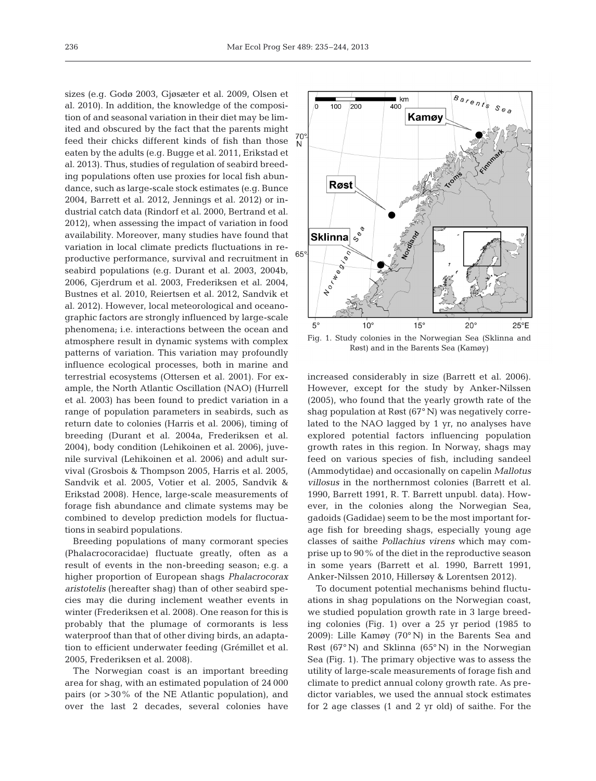sizes (e.g. Godø 2003, Gjøsæter et al. 2009, Olsen et al. 2010). In addition, the knowledge of the composition of and seasonal variation in their diet may be limited and obscured by the fact that the parents might feed their chicks different kinds of fish than those eaten by the adults (e.g. Bugge et al. 2011, Erikstad et al. 2013). Thus, studies of regulation of seabird breeding populations often use proxies for local fish abundance, such as large-scale stock estimates (e.g. Bunce 2004, Barrett et al. 2012, Jennings et al. 2012) or industrial catch data (Rindorf et al. 2000, Bertrand et al. 2012), when assessing the impact of variation in food availability. Moreover, many studies have found that variation in local climate predicts fluctuations in reproductive performance, survival and recruitment in seabird populations (e.g. Durant et al. 2003, 2004b, 2006, Gjerdrum et al. 2003, Frederiksen et al. 2004, Bustnes et al. 2010, Reiertsen et al. 2012, Sandvik et al. 2012). However, local meteorological and oceanographic factors are strongly influenced by large-scale phenomena; i.e. interactions between the ocean and atmosphere result in dynamic systems with complex patterns of variation. This variation may profoundly influence ecological processes, both in marine and terrestrial ecosystems (Ottersen et al. 2001). For example, the North Atlantic Oscillation (NAO) (Hurrell et al. 2003) has been found to predict variation in a range of population parameters in seabirds, such as return date to colonies (Harris et al. 2006), timing of breeding (Durant et al. 2004a, Frederiksen et al. 2004), body condition (Lehikoinen et al. 2006), juvenile survival (Lehikoinen et al. 2006) and adult survival (Grosbois & Thompson 2005, Harris et al. 2005, Sandvik et al. 2005, Votier et al. 2005, Sandvik & Erikstad 2008). Hence, large-scale measurements of forage fish abundance and climate systems may be combined to develop prediction models for fluctuations in seabird populations.

Breeding populations of many cormorant species (Phalacrocoracidae) fluctuate greatly, often as a result of events in the non-breeding season; e.g. a higher proportion of European shags *Phalacrocorax aristotelis* (hereafter shag) than of other seabird species may die during inclement weather events in winter (Frederiksen et al. 2008). One reason for this is probably that the plumage of cormorants is less waterproof than that of other diving birds, an adaptation to efficient underwater feeding (Grémillet et al. 2005, Frederiksen et al. 2008).

The Norwegian coast is an important breeding area for shag, with an estimated population of 24 000 pairs (or > 30% of the NE Atlantic population), and over the last 2 decades, several colonies have



Fig. 1. Study colonies in the Norwegian Sea (Sklinna and Røst) and in the Barents Sea (Kamøy)

increased considerably in size (Barrett et al. 2006). However, except for the study by Anker-Nilssen (2005), who found that the yearly growth rate of the shag population at Røst (67° N) was negatively correlated to the NAO lagged by 1 yr, no analyses have explored potential factors influencing population growth rates in this region. In Norway, shags may feed on various species of fish, including sandeel (Ammodytidae) and occasionally on capelin *Mallotus villosus* in the northernmost colonies (Barrett et al. 1990, Barrett 1991, R. T. Barrett unpubl. data). However, in the colonies along the Norwegian Sea, gadoids (Gadidae) seem to be the most important forage fish for breeding shags, especially young age classes of saithe *Pollachius virens* which may comprise up to 90% of the diet in the reproductive season in some years (Barrett et al. 1990, Barrett 1991, Anker-Nilssen 2010, Hillersøy & Lorentsen 2012).

To document potential mechanisms behind fluctuations in shag populations on the Norwegian coast, we studied population growth rate in 3 large breeding colonies (Fig. 1) over a 25 yr period (1985 to 2009): Lille Kamøy (70° N) in the Barents Sea and Røst (67° N) and Sklinna (65° N) in the Norwegian Sea (Fig. 1). The primary objective was to assess the utility of large-scale measurements of forage fish and climate to predict annual colony growth rate. As predictor variables, we used the annual stock estimates for 2 age classes (1 and 2 yr old) of saithe. For the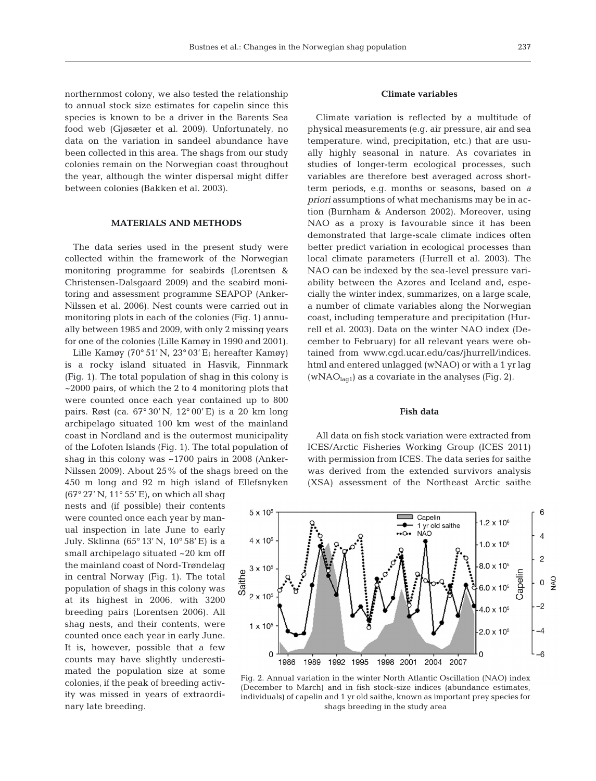northernmost colony, we also tested the relationship to annual stock size estimates for capelin since this

species is known to be a driver in the Barents Sea food web (Gjøsæter et al. 2009). Unfortunately, no data on the variation in sandeel abundance have been collected in this area. The shags from our study colonies remain on the Norwegian coast throughout the year, although the winter dispersal might differ between colonies (Bakken et al. 2003).

# **MATERIALS AND METHODS**

The data series used in the present study were collected within the framework of the Norwegian monitoring programme for seabirds (Lorentsen & Christensen-Dalsgaard 2009) and the seabird monitoring and assessment programme SEAPOP (Anker-Nilssen et al. 2006). Nest counts were carried out in monitoring plots in each of the colonies (Fig. 1) annually between 1985 and 2009, with only 2 missing years for one of the colonies (Lille Kamøy in 1990 and 2001).

Lille Kamøy (70° 51' N, 23° 03' E; hereafter Kamøy) is a rocky island situated in Hasvik, Finnmark (Fig. 1). The total population of shag in this colony is ~2000 pairs, of which the 2 to 4 monitoring plots that were counted once each year contained up to 800 pairs. Røst (ca. 67° 30' N, 12° 00' E) is a 20 km long archipelago situated 100 km west of the mainland coast in Nordland and is the outermost municipality of the Lofoten Islands (Fig. 1). The total population of shag in this colony was ~1700 pairs in 2008 (Anker-Nilssen 2009). About 25% of the shags breed on the 450 m long and 92 m high island of Ellefsnyken

(67° 27' N, 11° 55' E), on which all shag nests and (if possible) their contents were counted once each year by manual inspection in late June to early July. Sklinna (65° 13' N, 10° 58' E) is a small archipelago situated ~20 km off the mainland coast of Nord-Trøndelag in central Norway (Fig. 1). The total population of shags in this colony was at its highest in 2006, with 3200 breeding pairs (Lorentsen 2006). All shag nests, and their contents, were counted once each year in early June. It is, however, possible that a few counts may have slightly underestimated the population size at some colonies, if the peak of breeding activity was missed in years of extraordinary late breeding.

# **Climate variables**

Climate variation is reflected by a multitude of physical measurements (e.g. air pressure, air and sea temperature, wind, precipitation, etc.) that are usually highly seasonal in nature. As covariates in studies of longer-term ecological processes, such variables are therefore best averaged across shortterm periods, e.g. months or seasons, based on *a priori* assumptions of what mechanisms may be in action (Burnham & Anderson 2002). Moreover, using NAO as a proxy is favourable since it has been demonstrated that large-scale climate indices often better predict variation in ecological processes than local climate parameters (Hurrell et al. 2003). The NAO can be indexed by the sea-level pressure variability between the Azores and Iceland and, especially the winter index, summarizes, on a large scale, a number of climate variables along the Norwegian coast, including temperature and precipitation (Hurrell et al. 2003). Data on the winter NAO index (December to February) for all relevant years were obtained from www.cgd.ucar.edu/cas/jhurrell/indices. html and entered unlagged (wNAO) or with a 1 yr lag (wNAO $_{\text{lag1}}$ ) as a covariate in the analyses (Fig. 2).

#### **Fish data**

All data on fish stock variation were extracted from ICES/Arctic Fisheries Working Group (ICES 2011) with permission from ICES. The data series for saithe was derived from the extended survivors analysis (XSA) assessment of the Northeast Arctic saithe



Fig. 2. Annual variation in the winter North Atlantic Oscillation (NAO) index (December to March) and in fish stock-size indices (abundance estimates, individuals) of capelin and 1 yr old saithe, known as important prey species for shags breeding in the study area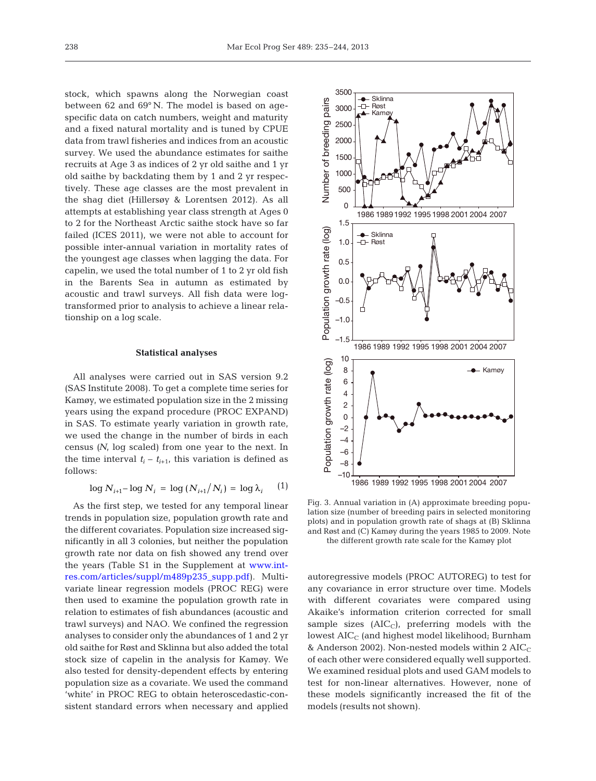stock, which spawns along the Norwegian coast between 62 and 69° N. The model is based on agespecific data on catch numbers, weight and maturity and a fixed natural mortality and is tuned by CPUE data from trawl fisheries and indices from an acoustic survey. We used the abundance estimates for saithe recruits at Age 3 as indices of 2 yr old saithe and 1 yr old saithe by backdating them by 1 and 2 yr respectively. These age classes are the most prevalent in the shag diet (Hillersøy & Lorentsen 2012). As all attempts at establishing year class strength at Ages 0 to 2 for the Northeast Arctic saithe stock have so far failed (ICES 2011), we were not able to account for possible inter-annual variation in mortality rates of the youngest age classes when lagging the data. For capelin, we used the total number of 1 to 2 yr old fish in the Barents Sea in autumn as estimated by acoustic and trawl surveys. All fish data were logtransformed prior to analysis to achieve a linear relationship on a log scale.

#### **Statistical analyses**

All analyses were carried out in SAS version 9.2 (SAS Institute 2008). To get a complete time series for Kamøy, we estimated population size in the 2 missing years using the expand procedure (PROC EXPAND) in SAS. To estimate yearly variation in growth rate, we used the change in the number of birds in each census *(N*, log scaled) from one year to the next. In the time interval  $t_i - t_{i+1}$ , this variation is defined as follows:

$$
\log N_{i+1} - \log N_i = \log (N_{i+1}/N_i) = \log \lambda_i \qquad (1)
$$

As the first step, we tested for any temporal linear trends in population size, population growth rate and the different covariates. Population size increased significantly in all 3 colonies, but neither the population growth rate nor data on fish showed any trend over the years (Table S1 in the Supplement at www.int[res.com/articles/suppl/m489p235\\_supp.pdf\).](http://www.int-res.com/articles/suppl/m489p235_supp.pdf) Multi variate linear regression models (PROC REG) were then used to examine the population growth rate in relation to estimates of fish abundances (acoustic and trawl surveys) and NAO. We confined the regression analyses to consider only the abundances of 1 and 2 yr old saithe for Røst and Sklinna but also added the total stock size of capelin in the analysis for Kamøy. We also tested for density-dependent effects by entering population size as a covariate. We used the command 'white' in PROC REG to obtain heteroscedastic-consistent standard errors when necessary and applied



Fig. 3. Annual variation in (A) approximate breeding population size (number of breeding pairs in selected monitoring plots) and in population growth rate of shags at (B) Sklinna and Røst and (C) Kamøy during the years 1985 to 2009. Note the different growth rate scale for the Kamøy plot

autoregressive models (PROC AUTOREG) to test for any covariance in error structure over time. Models with different covariates were compared using Akaike's information criterion corrected for small sample sizes  $(AIC_C)$ , preferring models with the lowest  $AIC_C$  (and highest model likelihood; Burnham & Anderson 2002). Non-nested models within 2  $AIC_C$ of each other were considered equally well supported. We examined residual plots and used GAM models to test for non-linear alternatives. However, none of these models significantly increased the fit of the models (results not shown).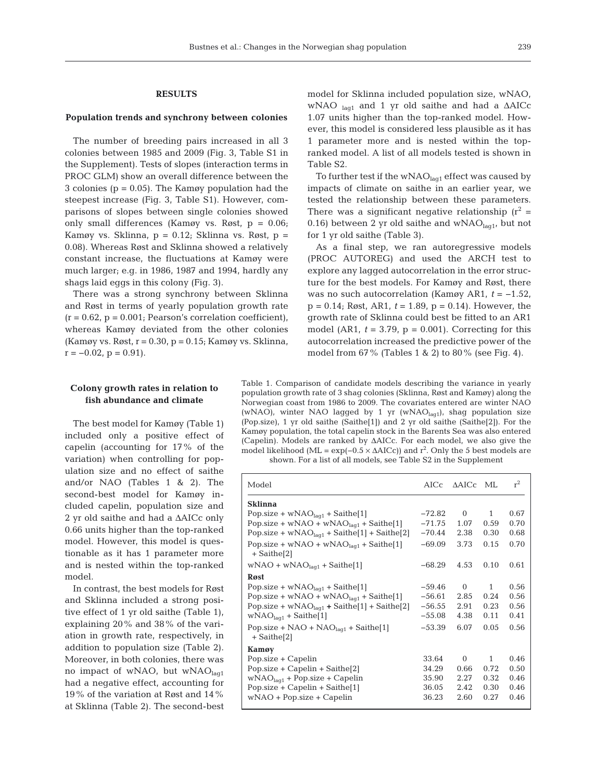## **RESULTS**

#### **Population trends and synchrony between colonies**

The number of breeding pairs increased in all 3 colonies between 1985 and 2009 (Fig. 3, Table S1 in the Supplement). Tests of slopes (interaction terms in PROC GLM) show an overall difference between the 3 colonies ( $p = 0.05$ ). The Kamøy population had the steepest increase (Fig. 3, Table S1). However, comparisons of slopes between single colonies showed only small differences (Kamøy vs. Røst, p = 0.06; Kamøy vs. Sklinna,  $p = 0.12$ ; Sklinna vs. Røst,  $p =$ 0.08). Whereas Røst and Sklinna showed a relatively constant increase, the fluctuations at Kamøy were much larger; e.g. in 1986, 1987 and 1994, hardly any shags laid eggs in this colony (Fig. 3).

There was a strong synchrony between Sklinna and Røst in terms of yearly population growth rate  $(r = 0.62, p = 0.001;$  Pearson's correlation coefficient), whereas Kamøy deviated from the other colonies (Kamøy vs. Røst,  $r = 0.30$ ,  $p = 0.15$ ; Kamøy vs. Sklinna,  $r = -0.02$ ,  $p = 0.91$ ).

# **Colony growth rates in relation to fish abundance and climate**

The best model for Kamøy (Table 1) included only a positive effect of capelin (accounting for 17% of the variation) when controlling for population size and no effect of saithe and/or NAO (Tables 1 & 2). The second-best model for Kamøy included capelin, population size and 2 yr old saithe and had a ΔAICc only 0.66 units higher than the top-ranked model. However, this model is questionable as it has 1 parameter more and is nested within the top-ranked model.

In contrast, the best models for Røst and Sklinna included a strong positive effect of 1 yr old saithe (Table 1), explaining 20% and 38% of the variation in growth rate, respectively, in addition to population size (Table 2). Moreover, in both colonies, there was no impact of wNAO, but wNAOlaq1 had a negative effect, accounting for 19% of the variation at Røst and 14% at Sklinna (Table 2). The second-best model for Sklinna included population size, wNAO, wNAO <sub>laq1</sub> and 1 yr old saithe and had a ΔAICc 1.07 units higher than the top-ranked model. However, this model is considered less plausible as it has 1 parameter more and is nested within the topranked model. A list of all models tested is shown in Table S2.

To further test if the wNAO<sub>lag1</sub> effect was caused by impacts of climate on saithe in an earlier year, we tested the relationship between these parameters. There was a significant negative relationship  $(r^2 =$ 0.16) between 2 yr old saithe and  $wNAO<sub>laq1</sub>$ , but not for 1 yr old saithe (Table 3).

As a final step, we ran autoregressive models (PROC AUTOREG) and used the ARCH test to explore any lagged autocorrelation in the error structure for the best models. For Kamøy and Røst, there was no such autocorrelation (Kamøy AR1, *t* = −1.52,  $p = 0.14$ ; Røst, AR1,  $t = 1.89$ ,  $p = 0.14$ ). However, the growth rate of Sklinna could best be fitted to an AR1 model (AR1,  $t = 3.79$ ,  $p = 0.001$ ). Correcting for this autocorrelation increased the predictive power of the model from 67% (Tables 1 & 2) to 80% (see Fig. 4).

Table 1. Comparison of candidate models describing the variance in yearly population growth rate of 3 shag colonies (Sklinna, Røst and Kamøy) along the Norwegian coast from 1986 to 2009. The covariates entered are winter NAO (wNAO), winter NAO lagged by 1 yr (wNAO $_{\text{lag1}}$ ), shag population size (Pop.size), 1 yr old saithe (Saithe[1]) and 2 yr old saithe (Saithe[2]). For the Kamøy population, the total capelin stock in the Barents Sea was also entered (Capelin). Models are ranked by ΔAICc. For each model, we also give the model likelihood (ML =  $\exp(-0.5 \times \Delta AICc)$ ) and r<sup>2</sup>. Only the 5 best models are shown. For a list of all models, see Table S2 in the Supplement

| Model                                                                | AICc     | AAICc ML |              | $r^2$ |
|----------------------------------------------------------------------|----------|----------|--------------|-------|
| <b>Sklinna</b>                                                       |          |          |              |       |
| Pop.size + $wNAOlag1$ + Saithe[1]                                    | $-72.82$ | $\Omega$ | $\mathbf{1}$ | 0.67  |
| Pop.size + $wNAO + wNAO_{lag1} + Saint[1]$                           | $-71.75$ | 1.07     | 0.59         | 0.70  |
| Pop.size + $wNAOlag1$ + Saithe[1] + Saithe[2]                        | $-70.44$ | 2.38     | 0.30         | 0.68  |
| Pop.size + wNAO + wNAO $_{\text{laq1}}$ + Saithe[1]<br>$+$ Saithe[2] | $-69.09$ | 3.73     | 0.15         | 0.70  |
| $wNAO + wNAOlag1 + Sainthe[1]$                                       | -68.29   | 4.53     | 0.10         | 0.61  |
| <b>R</b> øst                                                         |          |          |              |       |
| Pop.size + $wNAOlag1$ + Saithe[1]                                    | $-59.46$ | $\Omega$ | $\mathbf{1}$ | 0.56  |
| Pop.size + wNAO + wNAO $_{\text{laq1}}$ + Saithe[1]                  | $-56.61$ | 2.85     | 0.24         | 0.56  |
| Pop.size + $wNAOlaq1$ + Saithe[1] + Saithe[2]                        | $-56.55$ | 2.91     | 0.23         | 0.56  |
| $WNAOlaq1 + Sainthe[1]$                                              | $-55.08$ | 4.38     | 0.11         | 0.41  |
| Pop.size + $NAO$ + $NAOlaaf$ + Saithe[1]<br>$+$ Saithe $[2]$         | $-53.39$ | 6.07     | 0.05         | 0.56  |
| Kamøy                                                                |          |          |              |       |
| Pop.size + Capelin                                                   | 33.64    | $\Omega$ | $\mathbf{1}$ | 0.46  |
| Pop.size $+$ Capelin $+$ Saithe[2]                                   | 34.29    | 0.66     | 0.72         | 0.50  |
| $wNAOlaq1 + Pop.size + Capelin$                                      | 35.90    | 2.27     | 0.32         | 0.46  |
| Pop.size + $Capelin + Saint [1]$                                     | 36.05    | 2.42     | 0.30         | 0.46  |
| $wNAO + Pop.size + Capelin$                                          | 36.23    | 2.60     | 0.27         | 0.46  |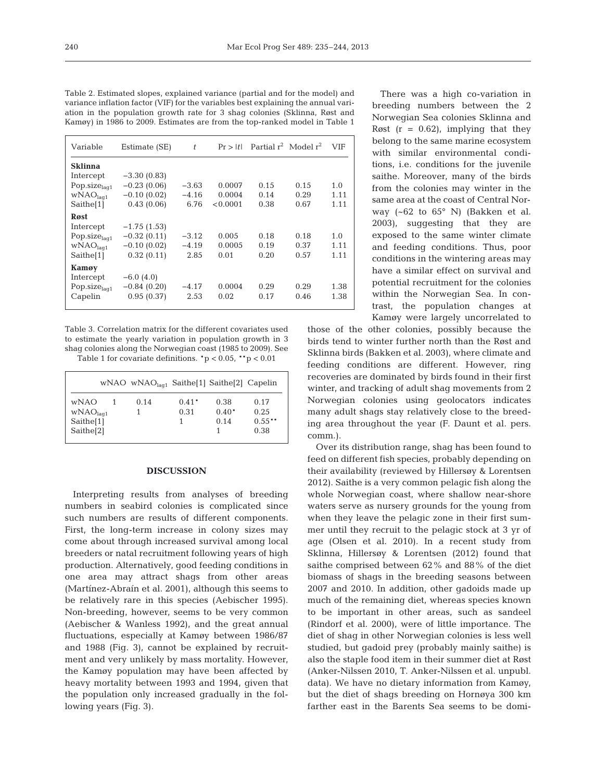| Variable                 | Estimate (SE) | t       | Pr >  t  | Partial $r^2$ Model $r^2$ |      | <b>VIF</b> |
|--------------------------|---------------|---------|----------|---------------------------|------|------------|
| <b>Sklinna</b>           |               |         |          |                           |      |            |
| Intercept                | $-3.30(0.83)$ |         |          |                           |      |            |
| Pop.siz $e_{laq1}$       | $-0.23(0.06)$ | $-3.63$ | 0.0007   | 0.15                      | 0.15 | 1.0        |
| WNAO <sub>laq1</sub>     | $-0.10(0.02)$ | $-4.16$ | 0.0004   | 0.14                      | 0.29 | 1.11       |
| Saithe[1]                | 0.43(0.06)    | 6.76    | < 0.0001 | 0.38                      | 0.67 | 1.11       |
| Røst                     |               |         |          |                           |      |            |
| Intercept                | $-1.75(1.53)$ |         |          |                           |      |            |
| Pop.siz $e_{\text{la}1}$ | $-0.32(0.11)$ | $-3.12$ | 0.005    | 0.18                      | 0.18 | 1.0        |
| WNAO <sub>laq1</sub>     | $-0.10(0.02)$ | $-4.19$ | 0.0005   | 0.19                      | 0.37 | 1.11       |
| Saithe <sup>[1]</sup>    | 0.32(0.11)    | 2.85    | 0.01     | 0.20                      | 0.57 | 1.11       |
| Kamøy                    |               |         |          |                           |      |            |
| Intercept                | $-6.0(4.0)$   |         |          |                           |      |            |
| Pop.siz $e_{laq1}$       | $-0.84(0.20)$ | $-4.17$ | 0.0004   | 0.29                      | 0.29 | 1.38       |
| Capelin                  | 0.95(0.37)    | 2.53    | 0.02     | 0.17                      | 0.46 | 1.38       |
|                          |               |         |          |                           |      |            |

Table 2. Estimated slopes, explained variance (partial and for the model) and variance inflation factor (VIF) for the variables best explaining the annual variation in the population growth rate for 3 shag colonies (Sklinna, Røst and Kamøy) in 1986 to 2009. Estimates are from the top-ranked model in Table 1

Table 3. Correlation matrix for the different covariates used to estimate the yearly variation in population growth in 3 shag colonies along the Norwegian coast (1985 to 2009). See

Table 1 for covariate definitions.  ${}^*p < 0.05$ ,  ${}^{**}p < 0.01$ 

|                       | wNAO wNAO $_{\text{laq1}}$ Saithe[1] Saithe[2] Capelin |         |         |          |
|-----------------------|--------------------------------------------------------|---------|---------|----------|
| <b>wNAO</b>           | 0.14                                                   | $0.41*$ | 0.38    | 0.17     |
| WNAO <sub>lag1</sub>  |                                                        | 0.31    | $0.40*$ | 0.25     |
| Saithe[1]             |                                                        |         | 0.14    | $0.55**$ |
| Saithe <sup>[2]</sup> |                                                        |         |         | 0.38     |

#### **DISCUSSION**

Interpreting results from analyses of breeding numbers in seabird colonies is complicated since such numbers are results of different components. First, the long-term increase in colony sizes may come about through increased survival among local breeders or natal recruitment following years of high production. Alternatively, good feeding conditions in one area may attract shags from other areas (Martínez-Abraín et al. 2001), although this seems to be relatively rare in this species (Aebischer 1995). Non-breeding, however, seems to be very common (Aebischer & Wanless 1992), and the great annual fluctuations, especially at Kamøy between 1986/87 and 1988 (Fig. 3), cannot be explained by recruitment and very unlikely by mass mortality. However, the Kamøy population may have been affected by heavy mortality between 1993 and 1994, given that the population only increased gradually in the following years (Fig. 3).

There was a high co-variation in breeding numbers between the 2 Norwegian Sea colonies Sklinna and Røst  $(r = 0.62)$ , implying that they belong to the same marine ecosystem with similar environmental conditions, i.e. conditions for the juvenile saithe. Moreover, many of the birds from the colonies may winter in the same area at the coast of Central Norway (~62 to 65° N) (Bakken et al. 2003), suggesting that they are exposed to the same winter climate and feeding conditions. Thus, poor conditions in the wintering areas may have a similar effect on survival and potential recruitment for the colonies within the Norwegian Sea. In contrast, the population changes at Kamøy were largely uncorrelated to

those of the other colonies, possibly because the birds tend to winter further north than the Røst and Sklinna birds (Bakken et al. 2003), where climate and feeding conditions are different. However, ring recoveries are dominated by birds found in their first winter, and tracking of adult shag movements from 2 Norwegian colonies using geolocators indicates many adult shags stay relatively close to the breeding area throughout the year (F. Daunt et al. pers. comm.).

Over its distribution range, shag has been found to feed on different fish species, probably depending on their availability (reviewed by Hillersøy & Lorentsen 2012). Saithe is a very common pelagic fish along the whole Norwegian coast, where shallow near-shore waters serve as nursery grounds for the young from when they leave the pelagic zone in their first summer until they recruit to the pelagic stock at 3 yr of age (Olsen et al. 2010). In a recent study from Sklinna, Hillersøy & Lorentsen (2012) found that saithe comprised between 62% and 88% of the diet biomass of shags in the breeding seasons between 2007 and 2010. In addition, other gadoids made up much of the remaining diet, whereas species known to be important in other areas, such as sandeel (Rindorf et al. 2000), were of little importance. The diet of shag in other Norwegian colonies is less well studied, but gadoid prey (probably mainly saithe) is also the staple food item in their summer diet at Røst (Anker-Nilssen 2010, T. Anker-Nilssen et al. unpubl. data). We have no dietary information from Kamøy, but the diet of shags breeding on Hornøya 300 km farther east in the Barents Sea seems to be domi-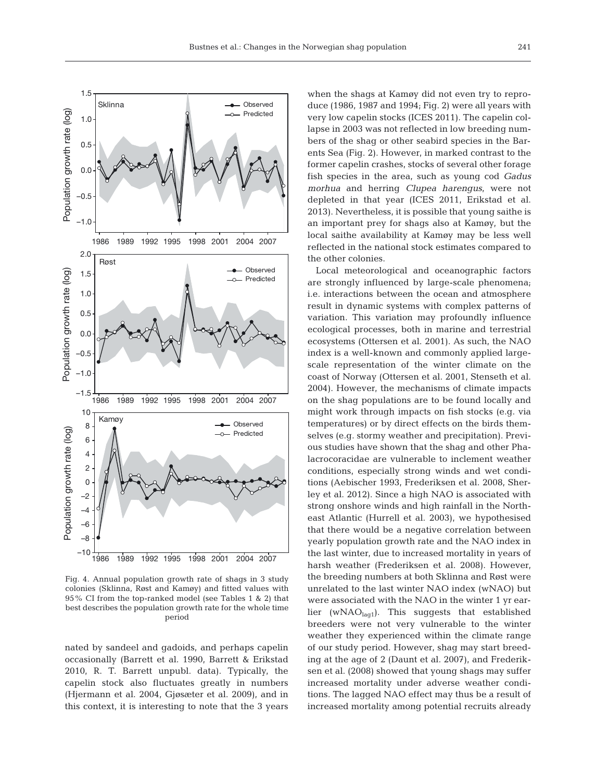

Fig. 4. Annual population growth rate of shags in 3 study colonies (Sklinna, Røst and Kamøy) and fitted values with 95% CI from the top-ranked model (see Tables 1 & 2) that best describes the population growth rate for the whole time period

nated by sandeel and gadoids, and perhaps capelin occasionally (Barrett et al. 1990, Barrett & Erikstad 2010, R. T. Barrett unpubl. data). Typically, the capelin stock also fluctuates greatly in numbers (Hjermann et al. 2004, Gjøsæter et al. 2009), and in this context, it is interesting to note that the 3 years when the shags at Kamøy did not even try to reproduce (1986, 1987 and 1994; Fig. 2) were all years with very low capelin stocks (ICES 2011). The capelin collapse in 2003 was not reflected in low breeding numbers of the shag or other seabird species in the Barents Sea (Fig. 2). However, in marked contrast to the former capelin crashes, stocks of several other forage fish species in the area, such as young cod *Gadus morhua* and herring *Clupea harengus*, were not depleted in that year (ICES 2011, Erikstad et al. 2013). Nevertheless, it is possible that young saithe is an important prey for shags also at Kamøy, but the local saithe availability at Kamøy may be less well reflected in the national stock estimates compared to the other colonies.

Local meteorological and oceanographic factors are strongly influenced by large-scale phenomena; i.e. interactions between the ocean and atmosphere result in dynamic systems with complex patterns of variation. This variation may profoundly influence ecological processes, both in marine and terrestrial ecosystems (Ottersen et al. 2001). As such, the NAO index is a well-known and commonly applied largescale representation of the winter climate on the coast of Norway (Ottersen et al. 2001, Stenseth et al. 2004). However, the mechanisms of climate impacts on the shag populations are to be found locally and might work through impacts on fish stocks (e.g. via temperatures) or by direct effects on the birds themselves (e.g. stormy weather and precipitation). Previous studies have shown that the shag and other Phalacrocoracidae are vulnerable to inclement weather conditions, especially strong winds and wet conditions (Aebischer 1993, Frederiksen et al. 2008, Sherley et al. 2012). Since a high NAO is associated with strong onshore winds and high rainfall in the Northeast Atlantic (Hurrell et al. 2003), we hypothesised that there would be a negative correlation between yearly population growth rate and the NAO index in the last winter, due to increased mortality in years of harsh weather (Frederiksen et al. 2008). However, the breeding numbers at both Sklinna and Røst were unrelated to the last winter NAO index (wNAO) but were associated with the NAO in the winter 1 yr earlier (wNAO $_{\text{laq1}}$ ). This suggests that established breeders were not very vulnerable to the winter weather they experienced within the climate range of our study period. However, shag may start breeding at the age of 2 (Daunt et al. 2007), and Frederiksen et al. (2008) showed that young shags may suffer increased mortality under adverse weather conditions. The lagged NAO effect may thus be a result of increased mortality among potential recruits already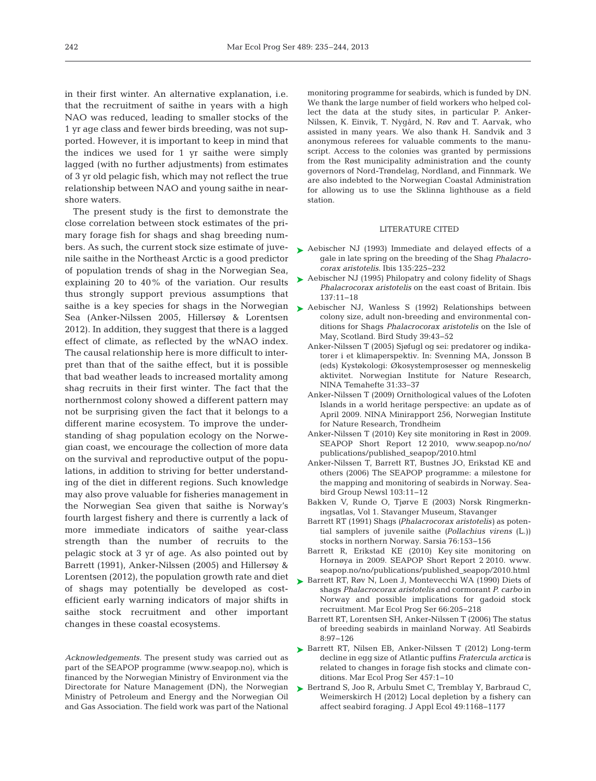in their first winter. An alternative explanation, i.e. that the recruitment of saithe in years with a high NAO was reduced, leading to smaller stocks of the 1 yr age class and fewer birds breeding, was not supported. However, it is important to keep in mind that the indices we used for 1 yr saithe were simply lagged (with no further adjustments) from estimates of 3 yr old pelagic fish, which may not reflect the true relationship between NAO and young saithe in nearshore waters.

The present study is the first to demonstrate the close correlation between stock estimates of the primary forage fish for shags and shag breeding numbers. As such, the current stock size estimate of juvenile saithe in the Northeast Arctic is a good predictor of population trends of shag in the Norwegian Sea, explaining 20 to 40% of the variation. Our results thus strongly support previous assumptions that saithe is a key species for shags in the Norwegian  $\blacktriangleright$  [Aebischer NJ, Wanless S \(1992\) Relationships between](http://dx.doi.org/10.1080/00063659209477098) Sea (Anker-Nilssen 2005, Hillersøy & Lorentsen 2012). In addition, they suggest that there is a lagged effect of climate, as reflected by the wNAO index. The causal relationship here is more difficult to interpret than that of the saithe effect, but it is possible that bad weather leads to increased mortality among shag recruits in their first winter. The fact that the northernmost colony showed a different pattern may not be surprising given the fact that it belongs to a different marine ecosystem. To improve the understanding of shag population ecology on the Norwegian coast, we encourage the collection of more data on the survival and reproductive output of the populations, in addition to striving for better understanding of the diet in different regions. Such knowledge may also prove valuable for fisheries management in the Norwegian Sea given that saithe is Norway's fourth largest fishery and there is currently a lack of more immediate indicators of saithe year-class strength than the number of recruits to the pelagic stock at 3 yr of age. As also pointed out by Barrett (1991), Anker-Nilssen (2005) and Hillersøy & Lorentsen (2012), the population growth rate and diet of shags may potentially be developed as costefficient early warning indicators of major shifts in saithe stock recruitment and other important changes in these coastal ecosystems.

*Acknowledgements.* The present study was carried out as part of the SEAPOP programme (www.seapop.no), which is financed by the Norwegian Ministry of Environment via the Directorate for Nature Management (DN), the Norwegian Ministry of Petroleum and Energy and the Norwegian Oil and Gas Association. The field work was part of the National

monitoring programme for seabirds, which is funded by DN. We thank the large number of field workers who helped collect the data at the study sites, in particular P. Anker-Nilssen, K. Einvik, T. Nygård, N. Røv and T. Aarvak, who assisted in many years. We also thank H. Sandvik and 3 anonymous referees for valuable comments to the manuscript. Access to the colonies was granted by permissions from the Røst municipality administration and the county governors of Nord-Trøndelag, Nordland, and Finnmark. We are also indebted to the Norwegian Coastal Administration for allowing us to use the Sklinna lighthouse as a field station.

#### LITERATURE CITED

- ▶ [Aebischer NJ \(1993\) Immediate and delayed effects of a](http://dx.doi.org/10.1111/j.1474-919X.1993.tb02838.x) gale in late spring on the breeding of the Shag *Phalacrocorax aristotelis.* Ibis 135: 225−232
- ► [Aebischer NJ \(1995\) Philopatry and colony fidelity of Shags](http://dx.doi.org/10.1111/j.1474-919X.1995.tb03214.x) *Phalacrocorax aristotelis* on the east coast of Britain. Ibis 137: 11−18
- colony size, adult non-breeding and environmental conditions for Shags *Phalacrocorax aristotelis* on the Isle of May, Scotland. Bird Study 39:43-52
	- Anker-Nilssen T (2005) Sjøfugl og sei: predatorer og indikatorer i et klimaperspektiv. In: Svenning MA, Jonsson B (eds) Kystøkologi:Økosystemprosesser og menneskelig aktivitet. Norwegian Institute for Nature Research, NINA Temahefte 31:33-37
	- Anker-Nilssen T (2009) Ornithological values of the Lofoten Islands in a world heritage perspective: an update as of April 2009. NINA Minirapport 256, Norwegian Institute for Nature Research, Trondheim
	- Anker-Nilssen T (2010) Key site monitoring in Røst in 2009. SEAPOP Short Report 12 2010, www.seapop.no/no/ publications/published\_seapop/2010.html
	- Anker-Nilssen T, Barrett RT, Bustnes JO, Erikstad KE and others (2006) The SEAPOP programme: a milestone for the mapping and monitoring of seabirds in Norway. Seabird Group Newsl 103:11-12
	- Bakken V, Runde O, Tjørve E (2003) Norsk Ringmerkningsatlas, Vol 1. Stavanger Museum, Stavanger
	- Barrett RT (1991) Shags *(Phalacrocorax aristotelis)* as potential samplers of juvenile saithe *(Pollachius virens* (L.)) stocks in northern Norway. Sarsia 76: 153−156
	- Barrett R, Erikstad KE (2010) Key site monitoring on Hornøya in 2009. SEAPOP Short Report 2 2010. www. seapop.no/no/publications/published\_seapop/2010.html
- ▶ [Barrett RT, Røv N, Loen J, Montevecchi WA \(1990\) Diets of](http://dx.doi.org/10.3354/meps066205) shags *Phalacrocorax aristotelis* and cormorant *P. carbo* in Norway and possible implications for gadoid stock recruitment. Mar Ecol Prog Ser 66: 205−218
	- Barrett RT, Lorentsen SH, Anker-Nilssen T (2006) The status of breeding seabirds in mainland Norway. Atl Seabirds 8: 97−126
- ▶ [Barrett RT, Nilsen EB, Anker-Nilssen T \(2012\) Long-term](http://dx.doi.org/10.3354/meps09813) decline in egg size of Atlantic puffins *Fratercula arctica* is related to changes in forage fish stocks and climate conditions. Mar Ecol Prog Ser 457: 1−10
- ▶ [Bertrand S, Joo R, Arbulu Smet C, Tremblay Y, Barbraud C,](http://dx.doi.org/10.1111/j.1365-2664.2012.02190.x) Weimerskirch H (2012) Local depletion by a fishery can affect seabird foraging. J Appl Ecol 49: 1168−1177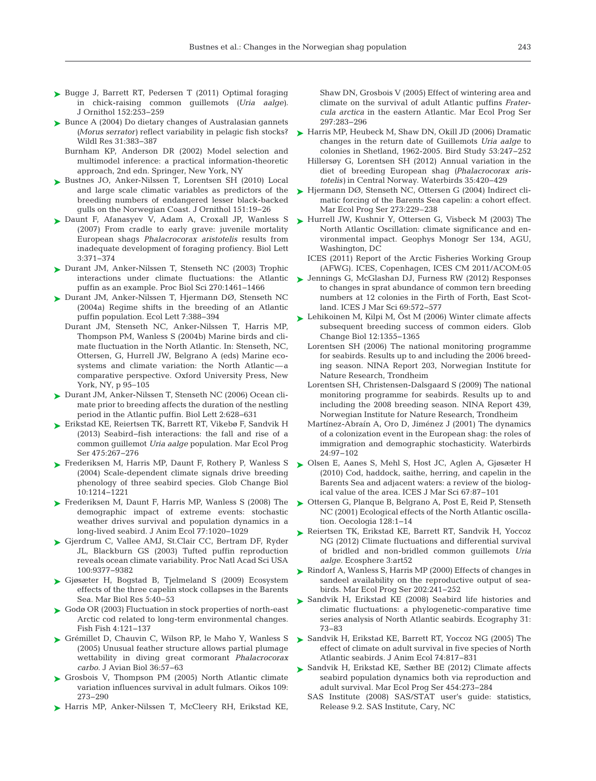- ► [Bugge J, Barrett RT, Pedersen T \(2011\) Optimal foraging](http://dx.doi.org/10.1007/s10336-010-0578-9) in chick-raising common guillemots *(Uria aalge).* J Ornithol 152:253-259
- ► [Bunce A \(2004\) Do dietary changes of Australasian gannets](http://dx.doi.org/10.1071/WR04008) *(Morus serrator)* reflect variability in pelagic fish stocks? Wildl Res 31:383-387
	- Burnham KP, Anderson DR (2002) Model selection and multimodel inference: a practical information-theoretic approach, 2nd edn. Springer, New York, NY
- ▶ [Bustnes JO, Anker-Nilssen T, Lorentsen SH \(2010\) Local](http://dx.doi.org/10.1007/s10336-009-0416-0) and large scale climatic variables as predictors of the breeding numbers of endangered lesser black-backed gulls on the Norwegian Coast. J Ornithol 151: 19−26
- ▶ [Daunt F, Afanasyev V, Adam A, Croxall JP, Wanless S](http://dx.doi.org/10.1098/rsbl.2007.0157) (2007) From cradle to early grave: juvenile mortality European shags *Phalacrocorax aristotelis* results from inadequate development of foraging profiency. Biol Lett 3: 371−374
- ► [Durant JM, Anker-Nilssen T, Stenseth NC \(2003\) Trophic](http://dx.doi.org/10.1098/rspb.2003.2397) interactions under climate fluctuations: the Atlantic puffin as an example. Proc Biol Sci 270: 1461−1466
- ► [Durant JM, Anker-Nilssen T, Hjermann DØ, Stenseth NC](http://dx.doi.org/10.1111/j.1461-0248.2004.00588.x) (2004a) Regime shifts in the breeding of an Atlantic puffin population. Ecol Lett 7: 388−394
	- Durant JM, Stenseth NC, Anker-Nilssen T, Harris MP, Thompson PM, Wanless S (2004b) Marine birds and climate fluctuation in the North Atlantic. In: Stenseth, NC, Ottersen, G, Hurrell JW, Belgrano A (eds) Marine ecosystems and climate variation: the North Atlantic-a comparative perspective. Oxford University Press, New York, NY, p 95−105
- ► [Durant JM, Anker-Nilssen T, Stenseth NC \(2006\) Ocean cli](http://dx.doi.org/10.1098/rsbl.2006.0520)mate prior to breeding affects the duration of the nestling period in the Atlantic puffin. Biol Lett 2:628-631
- [Erikstad KE, Reiertsen TK, Barrett RT, Vikebø F, Sandvik H](http://dx.doi.org/10.1046/j.1365-2656.2000.00435.x) ➤ (2013) Seabird-fish interactions: the fall and rise of a common guillemot *Uria aalge* population. Mar Ecol Prog Ser 475:267-276
- ► [Frederiksen M, Harris MP, Daunt F, Rothery P, Wanless S](http://dx.doi.org/10.1111/j.1529-8817.2003.00794.x) (2004) Scale-dependent climate signals drive breeding phenology of three seabird species. Glob Change Biol 10: 1214−1221
- ► [Frederiksen M, Daunt F, Harris MP, Wanless S \(2008\) The](http://dx.doi.org/10.1111/j.1365-2656.2008.01422.x) demographic impact of extreme events: stochastic weather drives survival and population dynamics in a long-lived seabird. J Anim Ecol 77: 1020−1029
- ► [Gjerdrum C, Vallee AMJ, St.Clair CC, Bertram DF, Ryder](http://dx.doi.org/10.1073/pnas.1133383100) JL, Blackburn GS (2003) Tufted puffin reproduction reveals ocean climate variability. Proc Natl Acad Sci USA 100: 9377−9382
- ► [Gjøsæter H, Bogstad B, Tjelmeland S \(2009\) Ecosystem](http://dx.doi.org/10.1080/17451000802454866) effects of the three capelin stock collapses in the Barents Sea. Mar Biol Res 5:40-53
- ► [Godø OR \(2003\) Fluctuation in stock properties of north-east](http://dx.doi.org/10.1046/j.1467-2979.2003.00112.x) Arctic cod related to long-term environmental changes. Fish Fish 4: 121−137
- ▶ [Grémillet D, Chauvin C, Wilson RP, le Maho Y, Wanless S](http://dx.doi.org/10.1111/j.0908-8857.2005.03331.x) (2005) Unusual feather structure allows partial plumage wettability in diving great cormorant *Phalacrocorax carbo.* J Avian Biol 36:57-63
- ▶ [Grosbois V, Thompson PM \(2005\) North Atlantic climate](http://dx.doi.org/10.1111/j.0030-1299.2005.13774.x) variation influences survival in adult fulmars. Oikos 109: 273−290
- ▶ [Harris MP, Anker-Nilssen T, McCleery RH, Erikstad KE,](http://dx.doi.org/10.3354/meps297283)

Shaw DN, Grosbois V (2005) Effect of wintering area and climate on the survival of adult Atlantic puffins *Fratercula arctica* in the eastern Atlantic. Mar Ecol Prog Ser 297: 283−296

- ► [Harris MP, Heubeck M, Shaw DN, Okill JD \(2006\) Dramatic](http://dx.doi.org/10.1080/00063650609461439) changes in the return date of Guillemots *Uria aalge* to colonies in Shetland, 1962-2005. Bird Study 53: 247−252
	- Hillersøy G, Lorentsen SH (2012) Annual variation in the diet of breeding European shag *(Phalacrocorax aristotelis)* in Central Norway. Waterbirds 35: 420−429
- ► [Hjermann DØ, Stenseth NC, Ottersen G \(2004\) Indirect cli](http://dx.doi.org/10.3354/meps273229)matic forcing of the Barents Sea capelin: a cohort effect. Mar Ecol Prog Ser 273:229–238
- ► [Hurrell JW, Kushnir Y, Ottersen G, Visbeck M \(2003\) The](http://dx.doi.org/10.1029/GM134) North Atlantic Oscillation: climate significance and environmental impact. Geophys Monogr Ser 134, AGU, Washington, DC
	- ICES (2011) Report of the Arctic Fisheries Working Group (AFWG). ICES, Copenhagen, ICES CM 2011/ACOM:05
- [Jennings G, McGlashan DJ, Furness RW \(2012\) Responses](http://dx.doi.org/10.1093/icesjms/fss022) ➤ to changes in sprat abundance of common tern breeding numbers at 12 colonies in the Firth of Forth, East Scotland. ICES J Mar Sci 69:572-577
- ► Lehikoinen M, Kilpi M, Ost M (2006) Winter climate affects subsequent breeding success of common eiders. Glob Change Biol 12: 1355−1365
	- Lorentsen SH (2006) The national monitoring programme for seabirds. Results up to and including the 2006 breeding season. NINA Report 203, Norwegian Institute for Nature Research, Trondheim
	- Lorentsen SH, Christensen-Dalsgaard S (2009) The national monitoring programme for seabirds. Results up to and including the 2008 breeding season. NINA Report 439, Norwegian Institute for Nature Research, Trondheim
	- Martínez-Abraín A, Oro D, Jiménez J (2001) The dynamics of a colonization event in the European shag: the roles of immigration and demographic stochasticity. Waterbirds 24: 97−102
- [Olsen E, Aanes S, Mehl S, Host JC, Aglen A, Gjøsæter H](http://dx.doi.org/10.1093/icesjms/fsp229) ➤ (2010) Cod, haddock, saithe, herring, and capelin in the Barents Sea and adjacent waters: a review of the biological value of the area. ICES J Mar Sci 67: 87−101
- [Ottersen G, Planque B, Belgrano A, Post E, Reid P, Stenseth](http://dx.doi.org/10.1007/s004420100655) ➤ NC (2001) Ecological effects of the North Atlantic oscillation. Oecologia 128: 1−14
- ▶ [Reiertsen TK, Erikstad KE, Barrett RT, Sandvik H, Yoccoz](http://dx.doi.org/10.1890/ES12-00031R) NG (2012) Climate fluctuations and differential survival of bridled and non-bridled common guillemots *Uria aalge.* Ecosphere 3: art52
- ► [Rindorf A, Wanless S, Harris MP \(2000\) Effects of changes in](http://dx.doi.org/10.3354/meps202241) sandeel availability on the reproductive output of seabirds. Mar Ecol Prog Ser 202: 241−252
- ▶ [Sandvik H, Erikstad KE \(2008\) Seabird life histories and](http://dx.doi.org/10.1111/j.2007.0906-7590.05090.x) climatic fluctuations: a phylogenetic-comparative time series analysis of North Atlantic seabirds. Ecography 31: 73−83
- ▶ [Sandvik H, Erikstad KE, Barrett RT, Yoccoz NG \(2005\) The](http://dx.doi.org/10.1111/j.1365-2656.2005.00981.x) effect of climate on adult survival in five species of North Atlantic seabirds. J Anim Ecol 74: 817−831
- ► [Sandvik H, Erikstad KE, Sæther BE \(2012\) Climate affects](http://dx.doi.org/10.3354/meps09558) seabird population dynamics both via reproduction and adult survival. Mar Ecol Prog Ser 454: 273−284
	- SAS Institute (2008) SAS/STAT user's guide: statistics, Release 9.2. SAS Institute, Cary, NC